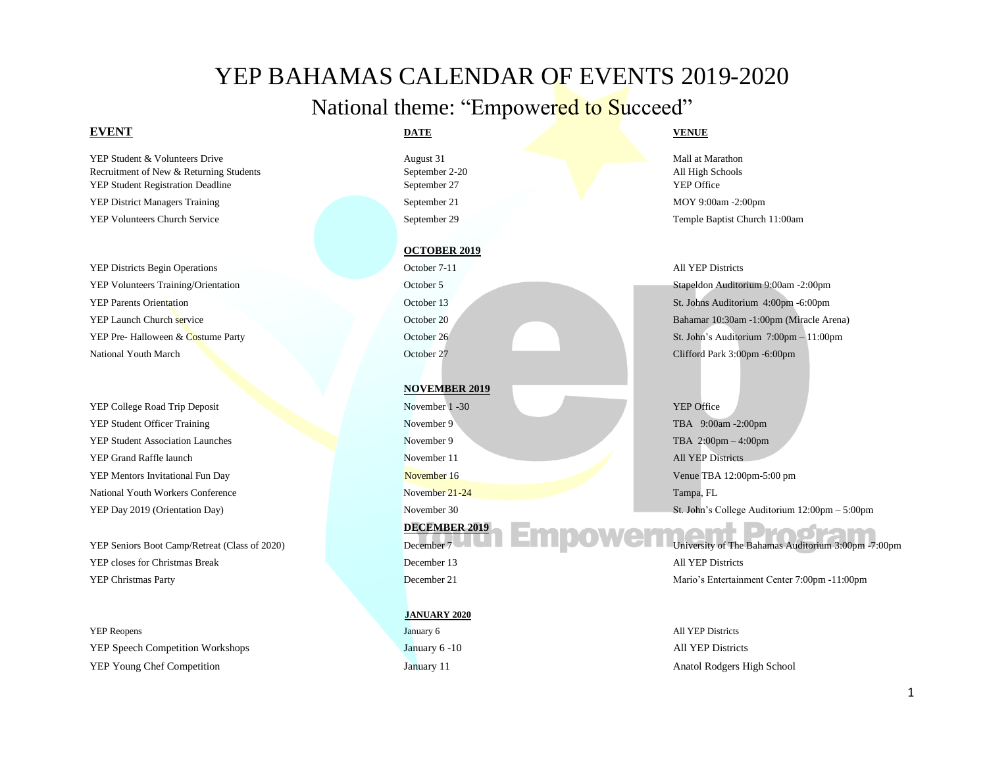# YEP BAHAMAS CALENDAR OF EVENTS 2019-2020

# National theme: "Empowered to Succeed"

# **EVENT DATE VENUE**

YEP Student & Volunteers Drive **August 31** Mall at Marathon August 31 Mall at Marathon Recruitment of New & Returning Students September 2-20 All High Schools YEP Student Registration Deadline September 27 YEP Office YEP District Managers Training September 21 MOY 9:00am -2:00pm YEP Volunteers Church Service September 29 Temple Baptist Church 11:00am

YEP Districts Begin Operations October 7-11 All YEP Districts YEP Volunteers Training/Orientation October 5 Stapeldon Auditorium 9:00am -2:00pm National Youth March Clifford Park 3:00pm -6:00pm

YEP College Road Trip Deposit November 1 -30 YEP Office YEP Student Officer Training November 9 TBA 9:00am -2:00pm YEP Student Association Launches November 9 TBA 2:00pm – 4:00pm YEP Grand Raffle launch and the November 11 All YEP Districts All YEP Districts YEP Mentors Invitational Fun Day November 16 Venue TBA 12:00pm-5:00 pm National Youth Workers Conference Tampa, FL November 21-24 Tampa, FL November 21-24 Tampa, FL

YEP Seniors Boot Camp/Retreat (Class of 2020) December 7 December 7 University of The Bahamas Auditorium 3:00pm -7:00pm **YEP closes for Christmas Break December 13** All YEP Districts All YEP Districts

**The SEP Reopens** All YEP Districts All YEP Districts YEP Speech Competition Workshops January 6 -10 All YEP Districts YEP Young Chef Competition January 11 Anatol Rodgers High School

## **OCTOBER 2019**

## **NOVEMBER 2019**

**DECEMBER 2019**

## **JANUARY 2020**

YEP Parents Orientation October 13 St. Johns Auditorium 4:00pm -6:00pm YEP Launch Church service October 20 Bahamar 10:30am -1:00pm (Miracle Arena) YEP Pre- Halloween & Costume Party October 26 St. John's Auditorium 7:00pm – 11:00pm

YEP Day 2019 (Orientation Day) November 30 St. John's College Auditorium 12:00pm – 5:00pm

YEP Christmas Party December 21 Mario's Entertainment Center 7:00pm -11:00pm